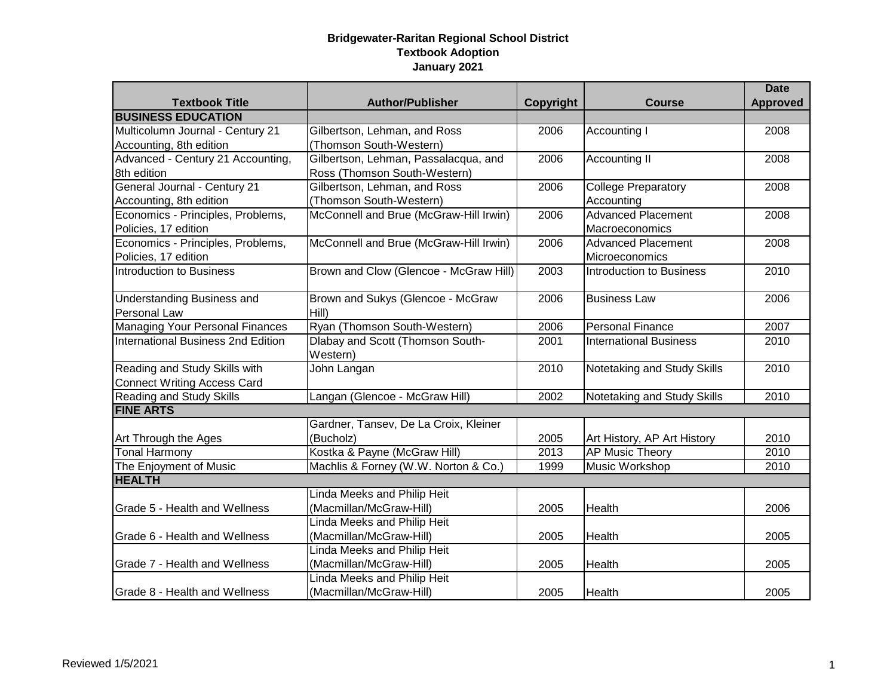|                                    |                                              |                  |                               | <b>Date</b>     |
|------------------------------------|----------------------------------------------|------------------|-------------------------------|-----------------|
| <b>Textbook Title</b>              | <b>Author/Publisher</b>                      | <b>Copyright</b> | <b>Course</b>                 | <b>Approved</b> |
| <b>BUSINESS EDUCATION</b>          |                                              |                  |                               |                 |
| Multicolumn Journal - Century 21   | Gilbertson, Lehman, and Ross                 | 2006             | Accounting I                  | 2008            |
| Accounting, 8th edition            | (Thomson South-Western)                      |                  |                               |                 |
| Advanced - Century 21 Accounting,  | Gilbertson, Lehman, Passalacqua, and         | 2006             | Accounting II                 | 2008            |
| 8th edition                        | Ross (Thomson South-Western)                 |                  |                               |                 |
| General Journal - Century 21       | Gilbertson, Lehman, and Ross                 | 2006             | <b>College Preparatory</b>    | 2008            |
| Accounting, 8th edition            | (Thomson South-Western)                      |                  | Accounting                    |                 |
| Economics - Principles, Problems,  | McConnell and Brue (McGraw-Hill Irwin)       | 2006             | <b>Advanced Placement</b>     | 2008            |
| Policies, 17 edition               |                                              |                  | Macroeconomics                |                 |
| Economics - Principles, Problems,  | McConnell and Brue (McGraw-Hill Irwin)       | 2006             | <b>Advanced Placement</b>     | 2008            |
| Policies, 17 edition               |                                              |                  | Microeconomics                |                 |
| Introduction to Business           | Brown and Clow (Glencoe - McGraw Hill)       | 2003             | Introduction to Business      | 2010            |
| <b>Understanding Business and</b>  | Brown and Sukys (Glencoe - McGraw            | 2006             | <b>Business Law</b>           | 2006            |
| Personal Law                       | Hill)                                        |                  |                               |                 |
| Managing Your Personal Finances    | Ryan (Thomson South-Western)                 | 2006             | <b>Personal Finance</b>       | 2007            |
| International Business 2nd Edition | Dlabay and Scott (Thomson South-<br>Western) | 2001             | <b>International Business</b> | 2010            |
| Reading and Study Skills with      | John Langan                                  | 2010             | Notetaking and Study Skills   | 2010            |
| <b>Connect Writing Access Card</b> |                                              |                  |                               |                 |
| <b>Reading and Study Skills</b>    | Langan (Glencoe - McGraw Hill)               | 2002             | Notetaking and Study Skills   | 2010            |
| <b>FINE ARTS</b>                   |                                              |                  |                               |                 |
|                                    | Gardner, Tansev, De La Croix, Kleiner        |                  |                               |                 |
| Art Through the Ages               | (Bucholz)                                    | 2005             | Art History, AP Art History   | 2010            |
| <b>Tonal Harmony</b>               | Kostka & Payne (McGraw Hill)                 | 2013             | <b>AP Music Theory</b>        | 2010            |
| The Enjoyment of Music             | Machlis & Forney (W.W. Norton & Co.)         | 1999             | Music Workshop                | 2010            |
| <b>HEALTH</b>                      |                                              |                  |                               |                 |
|                                    | Linda Meeks and Philip Heit                  |                  |                               |                 |
| Grade 5 - Health and Wellness      | (Macmillan/McGraw-Hill)                      | 2005             | Health                        | 2006            |
|                                    | Linda Meeks and Philip Heit                  |                  |                               |                 |
| Grade 6 - Health and Wellness      | (Macmillan/McGraw-Hill)                      | 2005             | Health                        | 2005            |
|                                    | Linda Meeks and Philip Heit                  |                  |                               |                 |
| Grade 7 - Health and Wellness      | (Macmillan/McGraw-Hill)                      | 2005             | Health                        | 2005            |
|                                    | Linda Meeks and Philip Heit                  |                  |                               |                 |
| Grade 8 - Health and Wellness      | (Macmillan/McGraw-Hill)                      | 2005             | Health                        | 2005            |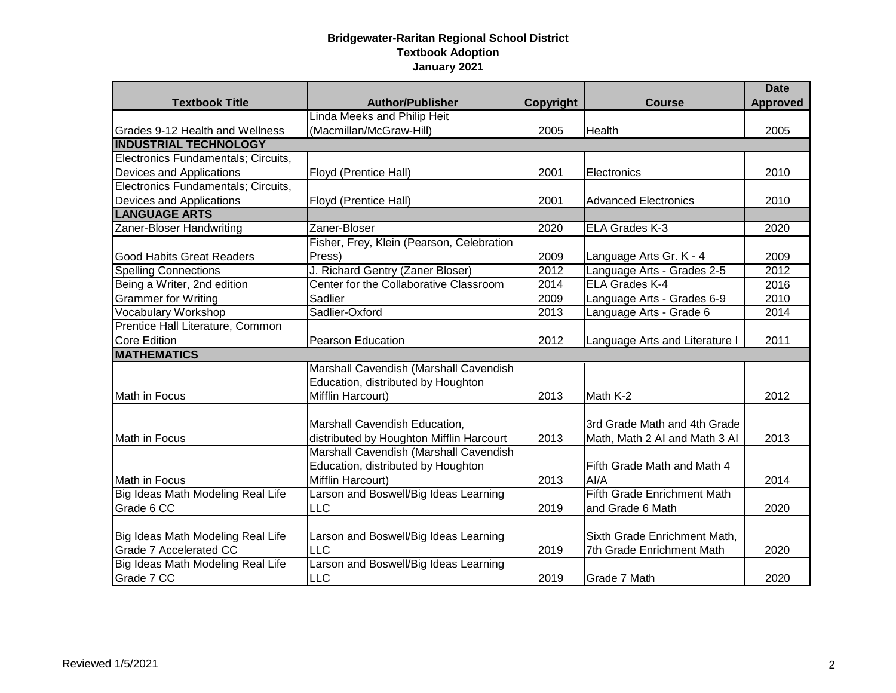|                                     |                                           |           |                                | <b>Date</b>     |
|-------------------------------------|-------------------------------------------|-----------|--------------------------------|-----------------|
| <b>Textbook Title</b>               | <b>Author/Publisher</b>                   | Copyright | <b>Course</b>                  | <b>Approved</b> |
|                                     | Linda Meeks and Philip Heit               |           |                                |                 |
| Grades 9-12 Health and Wellness     | (Macmillan/McGraw-Hill)                   | 2005      | Health                         | 2005            |
| <b>INDUSTRIAL TECHNOLOGY</b>        |                                           |           |                                |                 |
| Electronics Fundamentals; Circuits, |                                           |           |                                |                 |
| Devices and Applications            | Floyd (Prentice Hall)                     | 2001      | Electronics                    | 2010            |
| Electronics Fundamentals; Circuits, |                                           |           |                                |                 |
| Devices and Applications            | Floyd (Prentice Hall)                     | 2001      | <b>Advanced Electronics</b>    | 2010            |
| <b>LANGUAGE ARTS</b>                |                                           |           |                                |                 |
| Zaner-Bloser Handwriting            | Zaner-Bloser                              | 2020      | ELA Grades K-3                 | 2020            |
|                                     | Fisher, Frey, Klein (Pearson, Celebration |           |                                |                 |
| <b>Good Habits Great Readers</b>    | Press)                                    | 2009      | Language Arts Gr. K - 4        | 2009            |
| <b>Spelling Connections</b>         | J. Richard Gentry (Zaner Bloser)          | 2012      | Language Arts - Grades 2-5     | 2012            |
| Being a Writer, 2nd edition         | Center for the Collaborative Classroom    | 2014      | ELA Grades K-4                 | 2016            |
| <b>Grammer for Writing</b>          | Sadlier                                   | 2009      | Language Arts - Grades 6-9     | 2010            |
| <b>Vocabulary Workshop</b>          | Sadlier-Oxford                            | 2013      | Language Arts - Grade 6        | 2014            |
| Prentice Hall Literature, Common    |                                           |           |                                |                 |
| <b>Core Edition</b>                 | <b>Pearson Education</b>                  | 2012      | Language Arts and Literature I | 2011            |
| <b>MATHEMATICS</b>                  |                                           |           |                                |                 |
|                                     | Marshall Cavendish (Marshall Cavendish    |           |                                |                 |
|                                     | Education, distributed by Houghton        |           |                                |                 |
| Math in Focus                       | Mifflin Harcourt)                         | 2013      | Math K-2                       | 2012            |
|                                     |                                           |           |                                |                 |
|                                     | Marshall Cavendish Education,             |           | 3rd Grade Math and 4th Grade   |                 |
| Math in Focus                       | distributed by Houghton Mifflin Harcourt  | 2013      | Math, Math 2 AI and Math 3 AI  | 2013            |
|                                     | Marshall Cavendish (Marshall Cavendish    |           |                                |                 |
|                                     | Education, distributed by Houghton        |           | Fifth Grade Math and Math 4    |                 |
| Math in Focus                       | Mifflin Harcourt)                         | 2013      | Al/A                           | 2014            |
| Big Ideas Math Modeling Real Life   | Larson and Boswell/Big Ideas Learning     |           | Fifth Grade Enrichment Math    |                 |
| Grade 6 CC                          | LLC                                       | 2019      | and Grade 6 Math               | 2020            |
|                                     |                                           |           |                                |                 |
| Big Ideas Math Modeling Real Life   | Larson and Boswell/Big Ideas Learning     |           | Sixth Grade Enrichment Math,   |                 |
| Grade 7 Accelerated CC              | LLC                                       | 2019      | 7th Grade Enrichment Math      | 2020            |
| Big Ideas Math Modeling Real Life   | Larson and Boswell/Big Ideas Learning     |           |                                |                 |
| Grade 7 CC                          | <b>LLC</b>                                | 2019      | Grade 7 Math                   | 2020            |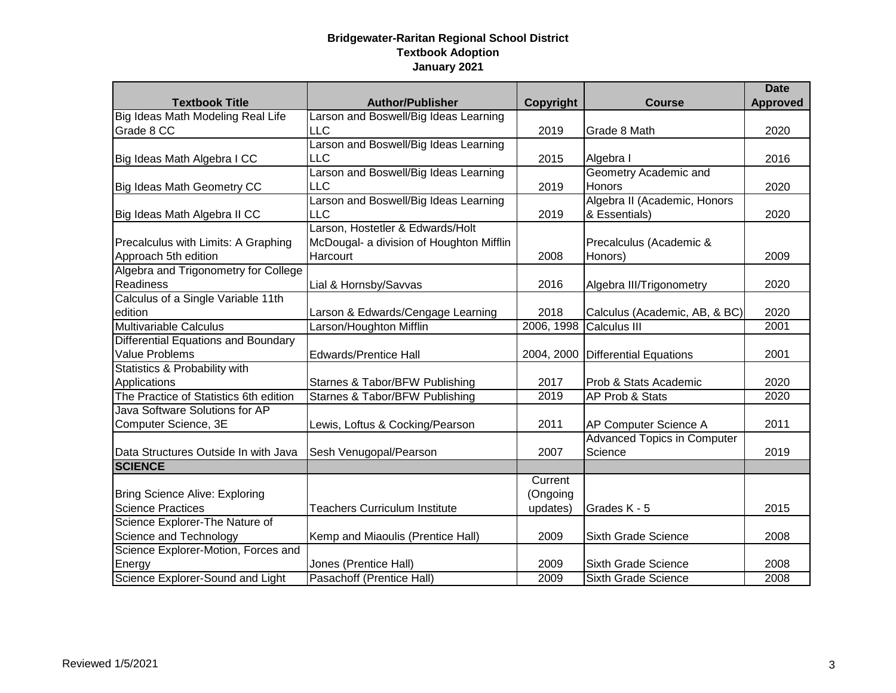|                                            |                                          |            |                                    | <b>Date</b>     |
|--------------------------------------------|------------------------------------------|------------|------------------------------------|-----------------|
| <b>Textbook Title</b>                      | <b>Author/Publisher</b>                  | Copyright  | <b>Course</b>                      | <b>Approved</b> |
| Big Ideas Math Modeling Real Life          | Larson and Boswell/Big Ideas Learning    |            |                                    |                 |
| Grade 8 CC                                 | <b>LLC</b>                               | 2019       | Grade 8 Math                       | 2020            |
|                                            | Larson and Boswell/Big Ideas Learning    |            |                                    |                 |
| Big Ideas Math Algebra I CC                | <b>LLC</b>                               | 2015       | Algebra I                          | 2016            |
|                                            | Larson and Boswell/Big Ideas Learning    |            | Geometry Academic and              |                 |
| Big Ideas Math Geometry CC                 | <b>LLC</b>                               | 2019       | Honors                             | 2020            |
|                                            | Larson and Boswell/Big Ideas Learning    |            | Algebra II (Academic, Honors       |                 |
| Big Ideas Math Algebra II CC               | LLC                                      | 2019       | & Essentials)                      | 2020            |
|                                            | Larson, Hostetler & Edwards/Holt         |            |                                    |                 |
| Precalculus with Limits: A Graphing        | McDougal- a division of Houghton Mifflin |            | Precalculus (Academic &            |                 |
| Approach 5th edition                       | Harcourt                                 | 2008       | Honors)                            | 2009            |
| Algebra and Trigonometry for College       |                                          |            |                                    |                 |
| Readiness                                  | Lial & Hornsby/Savvas                    | 2016       | Algebra III/Trigonometry           | 2020            |
| Calculus of a Single Variable 11th         |                                          |            |                                    |                 |
| edition                                    | Larson & Edwards/Cengage Learning        | 2018       | Calculus (Academic, AB, & BC)      | 2020            |
| <b>Multivariable Calculus</b>              | Larson/Houghton Mifflin                  | 2006, 1998 | Calculus III                       | 2001            |
| <b>Differential Equations and Boundary</b> |                                          |            |                                    |                 |
| Value Problems                             | <b>Edwards/Prentice Hall</b>             | 2004, 2000 | <b>Differential Equations</b>      | 2001            |
| Statistics & Probability with              |                                          |            |                                    |                 |
| Applications                               | Starnes & Tabor/BFW Publishing           | 2017       | Prob & Stats Academic              | 2020            |
| The Practice of Statistics 6th edition     | Starnes & Tabor/BFW Publishing           | 2019       | AP Prob & Stats                    | 2020            |
| Java Software Solutions for AP             |                                          |            |                                    |                 |
| Computer Science, 3E                       | Lewis, Loftus & Cocking/Pearson          | 2011       | AP Computer Science A              | 2011            |
|                                            |                                          |            | <b>Advanced Topics in Computer</b> |                 |
| Data Structures Outside In with Java       | Sesh Venugopal/Pearson                   | 2007       | Science                            | 2019            |
| <b>SCIENCE</b>                             |                                          |            |                                    |                 |
|                                            |                                          | Current    |                                    |                 |
| <b>Bring Science Alive: Exploring</b>      |                                          | (Ongoing   |                                    |                 |
| <b>Science Practices</b>                   | <b>Teachers Curriculum Institute</b>     | updates)   | Grades K - 5                       | 2015            |
| Science Explorer-The Nature of             |                                          |            |                                    |                 |
| Science and Technology                     | Kemp and Miaoulis (Prentice Hall)        | 2009       | Sixth Grade Science                | 2008            |
| Science Explorer-Motion, Forces and        |                                          |            |                                    |                 |
| Energy                                     | Jones (Prentice Hall)                    | 2009       | <b>Sixth Grade Science</b>         | 2008            |
| Science Explorer-Sound and Light           | Pasachoff (Prentice Hall)                | 2009       | Sixth Grade Science                | 2008            |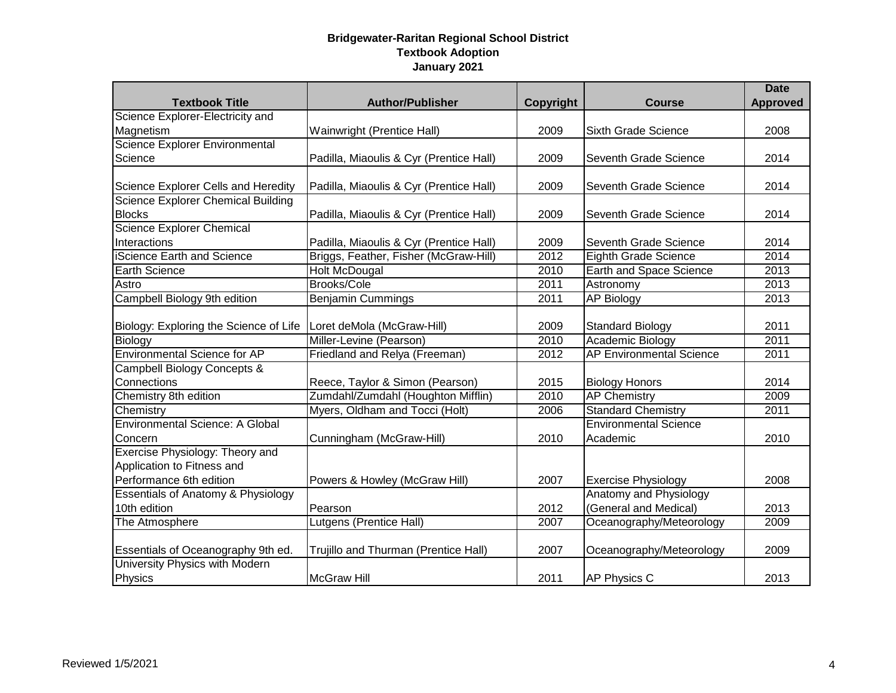|                                               |                                         |           |                                 | <b>Date</b>     |
|-----------------------------------------------|-----------------------------------------|-----------|---------------------------------|-----------------|
| <b>Textbook Title</b>                         | <b>Author/Publisher</b>                 | Copyright | <b>Course</b>                   | <b>Approved</b> |
| Science Explorer-Electricity and              |                                         |           |                                 |                 |
| Magnetism                                     | Wainwright (Prentice Hall)              | 2009      | Sixth Grade Science             | 2008            |
| Science Explorer Environmental                |                                         |           |                                 |                 |
| Science                                       | Padilla, Miaoulis & Cyr (Prentice Hall) | 2009      | Seventh Grade Science           | 2014            |
|                                               |                                         |           |                                 |                 |
| Science Explorer Cells and Heredity           | Padilla, Miaoulis & Cyr (Prentice Hall) | 2009      | Seventh Grade Science           | 2014            |
| <b>Science Explorer Chemical Building</b>     |                                         |           |                                 |                 |
| <b>Blocks</b>                                 | Padilla, Miaoulis & Cyr (Prentice Hall) | 2009      | Seventh Grade Science           | 2014            |
| Science Explorer Chemical                     |                                         |           |                                 |                 |
| Interactions                                  | Padilla, Miaoulis & Cyr (Prentice Hall) | 2009      | Seventh Grade Science           | 2014            |
| iScience Earth and Science                    | Briggs, Feather, Fisher (McGraw-Hill)   | 2012      | Eighth Grade Science            | 2014            |
| <b>Earth Science</b>                          | <b>Holt McDougal</b>                    | 2010      | Earth and Space Science         | 2013            |
| Astro                                         | <b>Brooks/Cole</b>                      | 2011      | Astronomy                       | 2013            |
| Campbell Biology 9th edition                  | <b>Benjamin Cummings</b>                | 2011      | <b>AP Biology</b>               | 2013            |
|                                               |                                         |           |                                 |                 |
| Biology: Exploring the Science of Life        | Loret deMola (McGraw-Hill)              | 2009      | <b>Standard Biology</b>         | 2011            |
| Biology                                       | Miller-Levine (Pearson)                 | 2010      | <b>Academic Biology</b>         | 2011            |
| <b>Environmental Science for AP</b>           | Friedland and Relya (Freeman)           | 2012      | <b>AP Environmental Science</b> | 2011            |
| <b>Campbell Biology Concepts &amp;</b>        |                                         |           |                                 |                 |
| Connections                                   | Reece, Taylor & Simon (Pearson)         | 2015      | <b>Biology Honors</b>           | 2014            |
| Chemistry 8th edition                         | Zumdahl/Zumdahl (Houghton Mifflin)      | 2010      | <b>AP Chemistry</b>             | 2009            |
| Chemistry                                     | Myers, Oldham and Tocci (Holt)          | 2006      | <b>Standard Chemistry</b>       | 2011            |
| <b>Environmental Science: A Global</b>        |                                         |           | <b>Environmental Science</b>    |                 |
| Concern                                       | Cunningham (McGraw-Hill)                | 2010      | Academic                        | 2010            |
| Exercise Physiology: Theory and               |                                         |           |                                 |                 |
| Application to Fitness and                    |                                         |           |                                 |                 |
| Performance 6th edition                       | Powers & Howley (McGraw Hill)           | 2007      | <b>Exercise Physiology</b>      | 2008            |
| <b>Essentials of Anatomy &amp; Physiology</b> |                                         |           | Anatomy and Physiology          |                 |
| 10th edition                                  | Pearson                                 | 2012      | (General and Medical)           | 2013            |
| The Atmosphere                                | Lutgens (Prentice Hall)                 | 2007      | Oceanography/Meteorology        | 2009            |
|                                               |                                         |           |                                 |                 |
| Essentials of Oceanography 9th ed.            | Trujillo and Thurman (Prentice Hall)    | 2007      | Oceanography/Meteorology        | 2009            |
| University Physics with Modern                |                                         |           |                                 |                 |
| Physics                                       | <b>McGraw Hill</b>                      | 2011      | <b>AP Physics C</b>             | 2013            |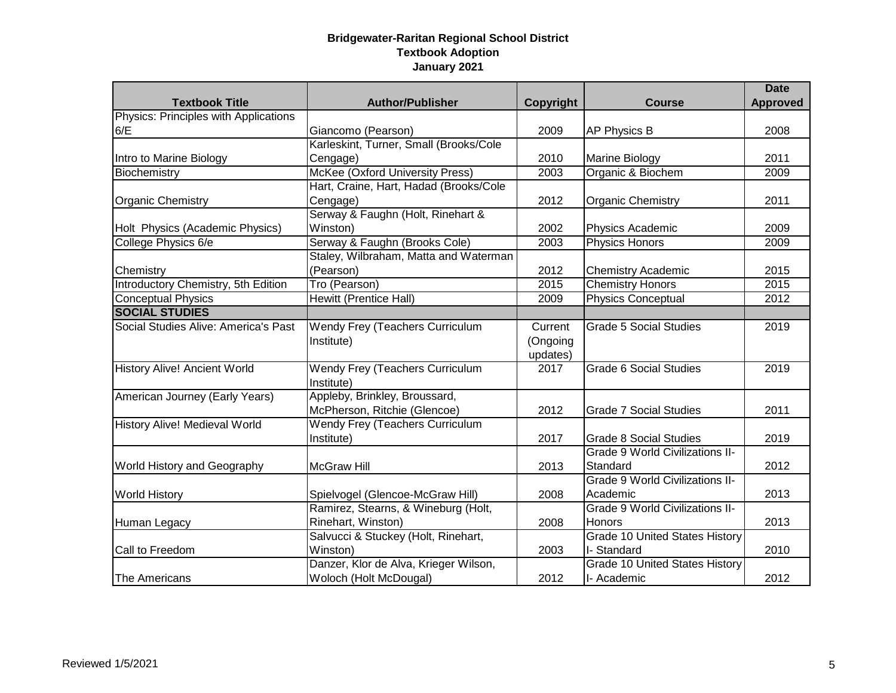|                                            |                                        |           |                                        | <b>Date</b>     |
|--------------------------------------------|----------------------------------------|-----------|----------------------------------------|-----------------|
| <b>Textbook Title</b>                      | <b>Author/Publisher</b>                | Copyright | <b>Course</b>                          | <b>Approved</b> |
| Physics: Principles with Applications      |                                        |           |                                        |                 |
| 6/E                                        | Giancomo (Pearson)                     | 2009      | <b>AP Physics B</b>                    | 2008            |
|                                            | Karleskint, Turner, Small (Brooks/Cole |           |                                        |                 |
| Intro to Marine Biology                    | Cengage)                               | 2010      | <b>Marine Biology</b>                  | 2011            |
| Biochemistry                               | <b>McKee (Oxford University Press)</b> | 2003      | Organic & Biochem                      | 2009            |
|                                            | Hart, Craine, Hart, Hadad (Brooks/Cole |           |                                        |                 |
| <b>Organic Chemistry</b>                   | Cengage)                               | 2012      | <b>Organic Chemistry</b>               | 2011            |
|                                            | Serway & Faughn (Holt, Rinehart &      |           |                                        |                 |
| Holt Physics (Academic Physics)            | Winston)                               | 2002      | Physics Academic                       | 2009            |
| College Physics 6/e                        | Serway & Faughn (Brooks Cole)          | 2003      | <b>Physics Honors</b>                  | 2009            |
|                                            | Staley, Wilbraham, Matta and Waterman  |           |                                        |                 |
| Chemistry                                  | (Pearson)                              | 2012      | <b>Chemistry Academic</b>              | 2015            |
| <b>Introductory Chemistry, 5th Edition</b> | Tro (Pearson)                          | 2015      | <b>Chemistry Honors</b>                | 2015            |
| <b>Conceptual Physics</b>                  | <b>Hewitt (Prentice Hall)</b>          | 2009      | <b>Physics Conceptual</b>              | 2012            |
| <b>SOCIAL STUDIES</b>                      |                                        |           |                                        |                 |
| Social Studies Alive: America's Past       | Wendy Frey (Teachers Curriculum        | Current   | <b>Grade 5 Social Studies</b>          | 2019            |
|                                            | Institute)                             | (Ongoing  |                                        |                 |
|                                            |                                        | updates)  |                                        |                 |
| <b>History Alive! Ancient World</b>        | Wendy Frey (Teachers Curriculum        | 2017      | <b>Grade 6 Social Studies</b>          | 2019            |
|                                            | Institute)                             |           |                                        |                 |
| American Journey (Early Years)             | Appleby, Brinkley, Broussard,          |           |                                        |                 |
|                                            | McPherson, Ritchie (Glencoe)           | 2012      | <b>Grade 7 Social Studies</b>          | 2011            |
| History Alive! Medieval World              | <b>Wendy Frey (Teachers Curriculum</b> |           |                                        |                 |
|                                            | Institute)                             | 2017      | <b>Grade 8 Social Studies</b>          | 2019            |
|                                            |                                        |           | <b>Grade 9 World Civilizations II-</b> |                 |
| <b>World History and Geography</b>         | <b>McGraw Hill</b>                     | 2013      | Standard                               | 2012            |
|                                            |                                        |           | <b>Grade 9 World Civilizations II-</b> |                 |
| <b>World History</b>                       | Spielvogel (Glencoe-McGraw Hill)       | 2008      | Academic                               | 2013            |
|                                            | Ramirez, Stearns, & Wineburg (Holt,    |           | <b>Grade 9 World Civilizations II-</b> |                 |
| <b>Human Legacy</b>                        | Rinehart, Winston)                     | 2008      | <b>Honors</b>                          | 2013            |
|                                            | Salvucci & Stuckey (Holt, Rinehart,    |           | <b>Grade 10 United States History</b>  |                 |
| Call to Freedom                            | Winston)                               | 2003      | I-Standard                             | 2010            |
|                                            | Danzer, Klor de Alva, Krieger Wilson,  |           | <b>Grade 10 United States History</b>  |                 |
| The Americans                              | Woloch (Holt McDougal)                 | 2012      | I- Academic                            | 2012            |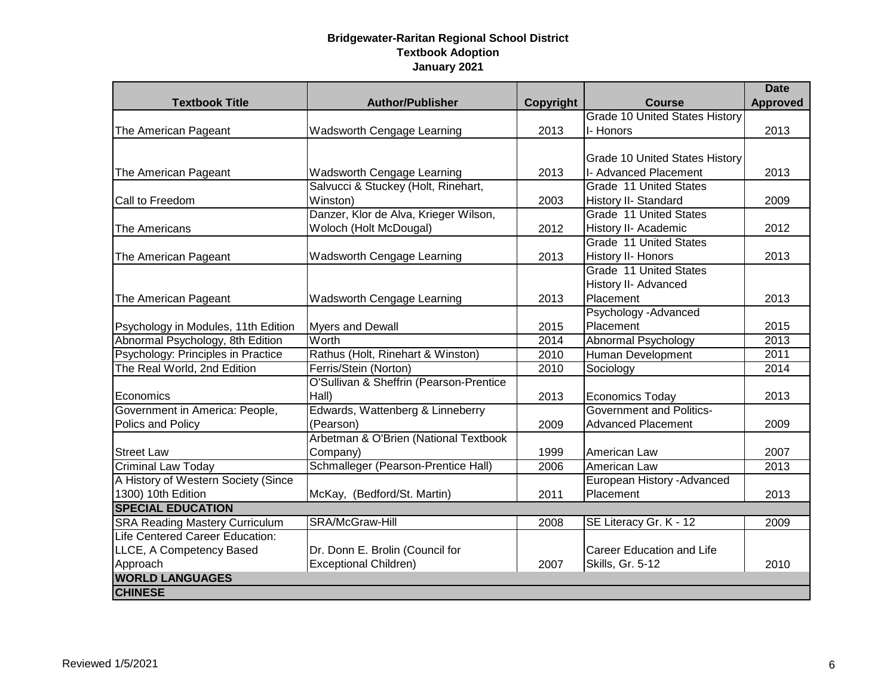|                                       |                                         |                  |                                       | <b>Date</b>     |
|---------------------------------------|-----------------------------------------|------------------|---------------------------------------|-----------------|
| <b>Textbook Title</b>                 | <b>Author/Publisher</b>                 | <b>Copyright</b> | <b>Course</b>                         | <b>Approved</b> |
|                                       |                                         |                  | <b>Grade 10 United States History</b> |                 |
| The American Pageant                  | Wadsworth Cengage Learning              | 2013             | I-Honors                              | 2013            |
|                                       |                                         |                  |                                       |                 |
|                                       |                                         |                  | <b>Grade 10 United States History</b> |                 |
| The American Pageant                  | Wadsworth Cengage Learning              | 2013             | I- Advanced Placement                 | 2013            |
|                                       | Salvucci & Stuckey (Holt, Rinehart,     |                  | Grade 11 United States                |                 |
| Call to Freedom                       | Winston)                                | 2003             | History II- Standard                  | 2009            |
|                                       | Danzer, Klor de Alva, Krieger Wilson,   |                  | Grade 11 United States                |                 |
| The Americans                         | Woloch (Holt McDougal)                  | 2012             | History II- Academic                  | 2012            |
|                                       |                                         |                  | Grade 11 United States                |                 |
| The American Pageant                  | Wadsworth Cengage Learning              | 2013             | History II- Honors                    | 2013            |
|                                       |                                         |                  | Grade 11 United States                |                 |
|                                       |                                         |                  | History II- Advanced                  |                 |
| The American Pageant                  | Wadsworth Cengage Learning              | 2013             | Placement                             | 2013            |
|                                       |                                         |                  | Psychology - Advanced                 |                 |
| Psychology in Modules, 11th Edition   | <b>Myers and Dewall</b>                 | 2015             | Placement                             | 2015            |
| Abnormal Psychology, 8th Edition      | Worth                                   | 2014             | Abnormal Psychology                   | 2013            |
| Psychology: Principles in Practice    | Rathus (Holt, Rinehart & Winston)       | 2010             | <b>Human Development</b>              | 2011            |
| The Real World, 2nd Edition           | Ferris/Stein (Norton)                   | 2010             | Sociology                             | 2014            |
|                                       | O'Sullivan & Sheffrin (Pearson-Prentice |                  |                                       |                 |
| Economics                             | Hall)                                   | 2013             | <b>Economics Today</b>                | 2013            |
| Government in America: People,        | Edwards, Wattenberg & Linneberry        |                  | <b>Government and Politics-</b>       |                 |
| Polics and Policy                     | (Pearson)                               | 2009             | <b>Advanced Placement</b>             | 2009            |
|                                       | Arbetman & O'Brien (National Textbook   |                  |                                       |                 |
| <b>Street Law</b>                     | Company)                                | 1999             | American Law                          | 2007            |
| <b>Criminal Law Today</b>             | Schmalleger (Pearson-Prentice Hall)     | 2006             | American Law                          | 2013            |
| A History of Western Society (Since   |                                         |                  | European History - Advanced           |                 |
| 1300) 10th Edition                    | McKay, (Bedford/St. Martin)             | 2011             | Placement                             | 2013            |
| <b>SPECIAL EDUCATION</b>              |                                         |                  |                                       |                 |
| <b>SRA Reading Mastery Curriculum</b> | SRA/McGraw-Hill                         | 2008             | SE Literacy Gr. K - 12                | 2009            |
| Life Centered Career Education:       |                                         |                  |                                       |                 |
| LLCE, A Competency Based              | Dr. Donn E. Brolin (Council for         |                  | <b>Career Education and Life</b>      |                 |
| Approach                              | <b>Exceptional Children)</b>            | 2007             | Skills, Gr. 5-12                      | 2010            |
| <b>WORLD LANGUAGES</b>                |                                         |                  |                                       |                 |
| <b>CHINESE</b>                        |                                         |                  |                                       |                 |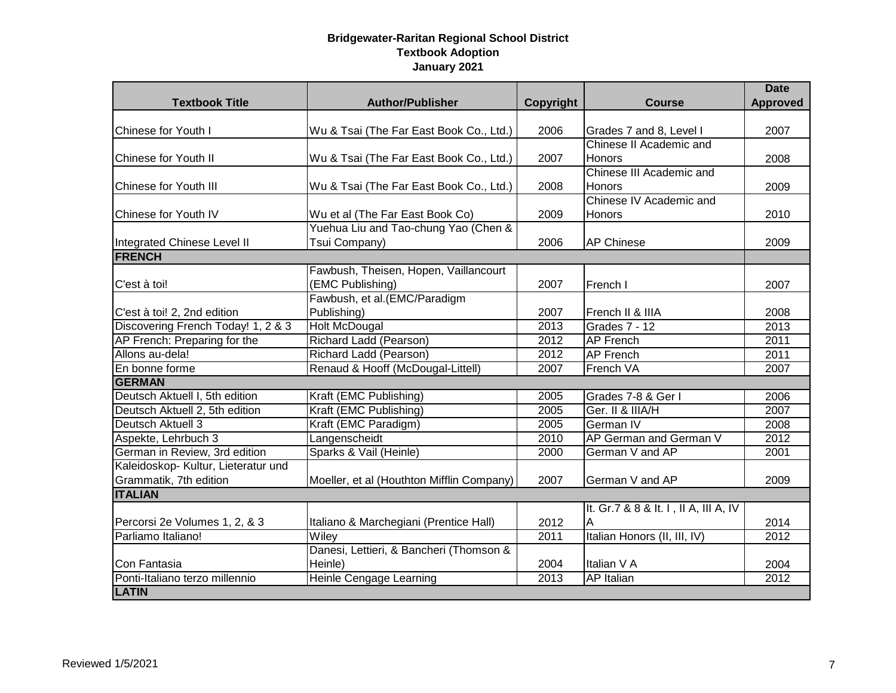| <b>Textbook Title</b>               | <b>Author/Publisher</b>                   |           | <b>Course</b>                         | <b>Date</b><br><b>Approved</b> |
|-------------------------------------|-------------------------------------------|-----------|---------------------------------------|--------------------------------|
|                                     |                                           | Copyright |                                       |                                |
| <b>Chinese for Youth I</b>          | Wu & Tsai (The Far East Book Co., Ltd.)   | 2006      | Grades 7 and 8, Level I               | 2007                           |
|                                     |                                           |           | Chinese II Academic and               |                                |
| Chinese for Youth II                | Wu & Tsai (The Far East Book Co., Ltd.)   | 2007      | <b>Honors</b>                         | 2008                           |
|                                     |                                           |           | Chinese III Academic and              |                                |
| Chinese for Youth III               | Wu & Tsai (The Far East Book Co., Ltd.)   | 2008      | <b>Honors</b>                         | 2009                           |
|                                     |                                           |           | Chinese IV Academic and               |                                |
| <b>Chinese for Youth IV</b>         | Wu et al (The Far East Book Co)           | 2009      | <b>Honors</b>                         | 2010                           |
|                                     | Yuehua Liu and Tao-chung Yao (Chen &      |           |                                       |                                |
| Integrated Chinese Level II         | Tsui Company)                             | 2006      | <b>AP Chinese</b>                     | 2009                           |
| <b>FRENCH</b>                       |                                           |           |                                       |                                |
|                                     | Fawbush, Theisen, Hopen, Vaillancourt     |           |                                       |                                |
| C'est à toi!                        | (EMC Publishing)                          | 2007      | French I                              | 2007                           |
|                                     | Fawbush, et al. (EMC/Paradigm             |           |                                       |                                |
| C'est à toi! 2, 2nd edition         | Publishing)                               | 2007      | French II & IIIA                      | 2008                           |
| Discovering French Today! 1, 2 & 3  | <b>Holt McDougal</b>                      | 2013      | Grades 7 - 12                         | 2013                           |
| AP French: Preparing for the        | Richard Ladd (Pearson)                    | 2012      | <b>AP French</b>                      | 2011                           |
| Allons au-dela!                     | Richard Ladd (Pearson)                    | 2012      | <b>AP French</b>                      | 2011                           |
| En bonne forme                      | Renaud & Hooff (McDougal-Littell)         | 2007      | French VA                             | 2007                           |
| <b>GERMAN</b>                       |                                           |           |                                       |                                |
| Deutsch Aktuell I, 5th edition      | Kraft (EMC Publishing)                    | 2005      | Grades 7-8 & Ger I                    | 2006                           |
| Deutsch Aktuell 2, 5th edition      | Kraft (EMC Publishing)                    | 2005      | Ger. II & IIIA/H                      | 2007                           |
| Deutsch Aktuell 3                   | Kraft (EMC Paradigm)                      | 2005      | German IV                             | 2008                           |
| Aspekte, Lehrbuch 3                 | Langenscheidt                             | 2010      | AP German and German V                | 2012                           |
| German in Review, 3rd edition       | Sparks & Vail (Heinle)                    | 2000      | German V and AP                       | 2001                           |
| Kaleidoskop- Kultur, Lieteratur und |                                           |           |                                       |                                |
| Grammatik, 7th edition              | Moeller, et al (Houthton Mifflin Company) | 2007      | German V and AP                       | 2009                           |
| <b>ITALIAN</b>                      |                                           |           |                                       |                                |
|                                     |                                           |           | It. Gr.7 & 8 & It. I, II A, III A, IV |                                |
| Percorsi 2e Volumes 1, 2, & 3       | Italiano & Marchegiani (Prentice Hall)    | 2012      | A                                     | 2014                           |
| Parliamo Italiano!                  | Wiley                                     | 2011      | Italian Honors (II, III, IV)          | 2012                           |
|                                     | Danesi, Lettieri, & Bancheri (Thomson &   |           |                                       |                                |
| Con Fantasia                        | Heinle)                                   | 2004      | Italian V A                           | 2004                           |
| Ponti-Italiano terzo millennio      | <b>Heinle Cengage Learning</b>            | 2013      | <b>AP</b> Italian                     | 2012                           |
| <b>LATIN</b>                        |                                           |           |                                       |                                |